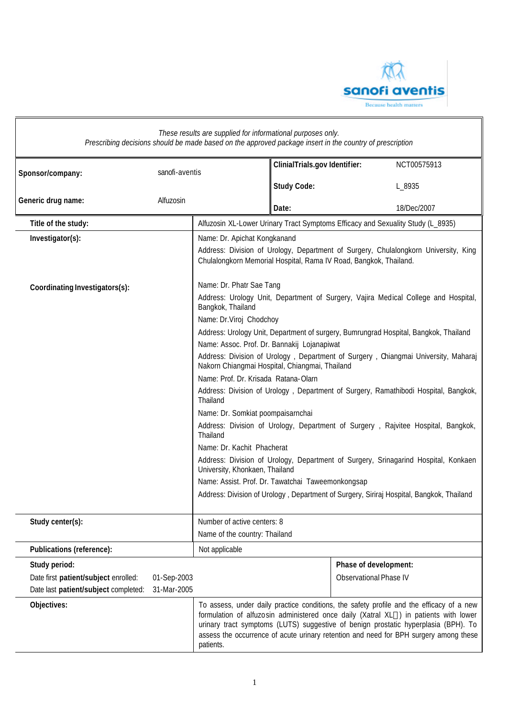

| These results are supplied for informational purposes only.<br>Prescribing decisions should be made based on the approved package insert in the country of prescription |                            |                                                                                                                                                                                                                                                                                                                                                    |                               |                                                        |                                                                                                                                                                                                                                                                                                                                                                                                                                                                                                                                         |
|-------------------------------------------------------------------------------------------------------------------------------------------------------------------------|----------------------------|----------------------------------------------------------------------------------------------------------------------------------------------------------------------------------------------------------------------------------------------------------------------------------------------------------------------------------------------------|-------------------------------|--------------------------------------------------------|-----------------------------------------------------------------------------------------------------------------------------------------------------------------------------------------------------------------------------------------------------------------------------------------------------------------------------------------------------------------------------------------------------------------------------------------------------------------------------------------------------------------------------------------|
| Sponsor/company:                                                                                                                                                        | sanofi-aventis             |                                                                                                                                                                                                                                                                                                                                                    | ClinialTrials.gov Identifier: |                                                        | NCT00575913                                                                                                                                                                                                                                                                                                                                                                                                                                                                                                                             |
|                                                                                                                                                                         |                            |                                                                                                                                                                                                                                                                                                                                                    | <b>Study Code:</b>            |                                                        | L_8935                                                                                                                                                                                                                                                                                                                                                                                                                                                                                                                                  |
| Generic drug name:                                                                                                                                                      | Alfuzosin                  |                                                                                                                                                                                                                                                                                                                                                    | Date:                         |                                                        | 18/Dec/2007                                                                                                                                                                                                                                                                                                                                                                                                                                                                                                                             |
| Title of the study:                                                                                                                                                     |                            | Alfuzosin XL-Lower Urinary Tract Symptoms Efficacy and Sexuality Study (L_8935)                                                                                                                                                                                                                                                                    |                               |                                                        |                                                                                                                                                                                                                                                                                                                                                                                                                                                                                                                                         |
| Investigator(s):                                                                                                                                                        |                            | Name: Dr. Apichat Kongkanand<br>Chulalongkorn Memorial Hospital, Rama IV Road, Bangkok, Thailand.                                                                                                                                                                                                                                                  |                               |                                                        | Address: Division of Urology, Department of Surgery, Chulalongkorn University, King                                                                                                                                                                                                                                                                                                                                                                                                                                                     |
| Coordinating Investigators(s):                                                                                                                                          |                            | Name: Dr. Phatr Sae Tang<br>Bangkok, Thailand                                                                                                                                                                                                                                                                                                      |                               |                                                        | Address: Urology Unit, Department of Surgery, Vajira Medical College and Hospital,                                                                                                                                                                                                                                                                                                                                                                                                                                                      |
|                                                                                                                                                                         |                            | Name: Dr.Viroj Chodchoy<br>Name: Assoc. Prof. Dr. Bannakij Lojanapiwat<br>Nakorn Chiangmai Hospital, Chiangmai, Thailand<br>Name: Prof. Dr. Krisada Ratana-Olarn<br>Thailand<br>Name: Dr. Somkiat poompaisarnchai<br>Thailand<br>Name: Dr. Kachit Phacherat<br>University, Khonkaen, Thailand<br>Name: Assist. Prof. Dr. Tawatchai Taweemonkongsap |                               |                                                        | Address: Urology Unit, Department of surgery, Bumrungrad Hospital, Bangkok, Thailand<br>Address: Division of Urology, Department of Surgery, Chiangmai University, Maharaj<br>Address: Division of Urology, Department of Surgery, Ramathibodi Hospital, Bangkok,<br>Address: Division of Urology, Department of Surgery, Rajvitee Hospital, Bangkok,<br>Address: Division of Urology, Department of Surgery, Srinagarind Hospital, Konkaen<br>Address: Division of Urology, Department of Surgery, Siriraj Hospital, Bangkok, Thailand |
| Study center(s):                                                                                                                                                        |                            | Number of active centers: 8<br>Name of the country: Thailand                                                                                                                                                                                                                                                                                       |                               |                                                        |                                                                                                                                                                                                                                                                                                                                                                                                                                                                                                                                         |
| Publications (reference):                                                                                                                                               |                            | Not applicable                                                                                                                                                                                                                                                                                                                                     |                               |                                                        |                                                                                                                                                                                                                                                                                                                                                                                                                                                                                                                                         |
| Study period:<br>Date first patient/subject enrolled:<br>Date last patient/subject completed:                                                                           | 01-Sep-2003<br>31-Mar-2005 |                                                                                                                                                                                                                                                                                                                                                    |                               | Phase of development:<br><b>Observational Phase IV</b> |                                                                                                                                                                                                                                                                                                                                                                                                                                                                                                                                         |
| Objectives:                                                                                                                                                             |                            | patients.                                                                                                                                                                                                                                                                                                                                          |                               |                                                        | To assess, under daily practice conditions, the safety profile and the efficacy of a new<br>formulation of alfuzosin administered once daily (Xatral XL®) in patients with lower<br>urinary tract symptoms (LUTS) suggestive of benign prostatic hyperplasia (BPH). To<br>assess the occurrence of acute urinary retention and need for BPH surgery among these                                                                                                                                                                         |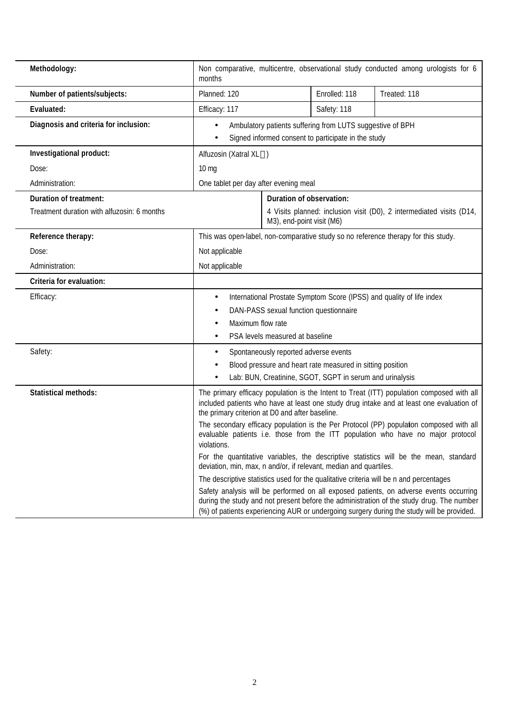| Methodology:                                                          | months                                                                                                                              |                                                       |                                                                                                                        | Non comparative, multicentre, observational study conducted among urologists for 6                                                                                                                                                                                                                                                                                                                                                                                                                                                                                                                                                                                                                                                                                                                                                        |
|-----------------------------------------------------------------------|-------------------------------------------------------------------------------------------------------------------------------------|-------------------------------------------------------|------------------------------------------------------------------------------------------------------------------------|-------------------------------------------------------------------------------------------------------------------------------------------------------------------------------------------------------------------------------------------------------------------------------------------------------------------------------------------------------------------------------------------------------------------------------------------------------------------------------------------------------------------------------------------------------------------------------------------------------------------------------------------------------------------------------------------------------------------------------------------------------------------------------------------------------------------------------------------|
| Number of patients/subjects:                                          | Planned: 120                                                                                                                        |                                                       | Enrolled: 118                                                                                                          | Treated: 118                                                                                                                                                                                                                                                                                                                                                                                                                                                                                                                                                                                                                                                                                                                                                                                                                              |
| Evaluated:                                                            | Efficacy: 117                                                                                                                       |                                                       | Safety: 118                                                                                                            |                                                                                                                                                                                                                                                                                                                                                                                                                                                                                                                                                                                                                                                                                                                                                                                                                                           |
| Diagnosis and criteria for inclusion:                                 | Ambulatory patients suffering from LUTS suggestive of BPH<br>Signed informed consent to participate in the study                    |                                                       |                                                                                                                        |                                                                                                                                                                                                                                                                                                                                                                                                                                                                                                                                                                                                                                                                                                                                                                                                                                           |
| Investigational product:                                              | Alfuzosin (Xatral XL®)                                                                                                              |                                                       |                                                                                                                        |                                                                                                                                                                                                                                                                                                                                                                                                                                                                                                                                                                                                                                                                                                                                                                                                                                           |
| Dose:                                                                 | $10 \text{ mg}$                                                                                                                     |                                                       |                                                                                                                        |                                                                                                                                                                                                                                                                                                                                                                                                                                                                                                                                                                                                                                                                                                                                                                                                                                           |
| Administration:                                                       | One tablet per day after evening meal                                                                                               |                                                       |                                                                                                                        |                                                                                                                                                                                                                                                                                                                                                                                                                                                                                                                                                                                                                                                                                                                                                                                                                                           |
| Duration of treatment:<br>Treatment duration with alfuzosin: 6 months |                                                                                                                                     | Duration of observation:<br>M3), end-point visit (M6) |                                                                                                                        | 4 Visits planned: inclusion visit (D0), 2 intermediated visits (D14,                                                                                                                                                                                                                                                                                                                                                                                                                                                                                                                                                                                                                                                                                                                                                                      |
| Reference therapy:                                                    |                                                                                                                                     |                                                       |                                                                                                                        | This was open-label, non-comparative study so no reference therapy for this study.                                                                                                                                                                                                                                                                                                                                                                                                                                                                                                                                                                                                                                                                                                                                                        |
| Dose:                                                                 | Not applicable                                                                                                                      |                                                       |                                                                                                                        |                                                                                                                                                                                                                                                                                                                                                                                                                                                                                                                                                                                                                                                                                                                                                                                                                                           |
| Administration:                                                       | Not applicable                                                                                                                      |                                                       |                                                                                                                        |                                                                                                                                                                                                                                                                                                                                                                                                                                                                                                                                                                                                                                                                                                                                                                                                                                           |
| Criteria for evaluation:                                              |                                                                                                                                     |                                                       |                                                                                                                        |                                                                                                                                                                                                                                                                                                                                                                                                                                                                                                                                                                                                                                                                                                                                                                                                                                           |
| Efficacy:                                                             | $\bullet$<br>Maximum flow rate                                                                                                      | PSA levels measured at baseline                       | DAN-PASS sexual function questionnaire                                                                                 | International Prostate Symptom Score (IPSS) and quality of life index                                                                                                                                                                                                                                                                                                                                                                                                                                                                                                                                                                                                                                                                                                                                                                     |
| Safety:                                                               | $\bullet$                                                                                                                           | Spontaneously reported adverse events                 | Blood pressure and heart rate measured in sitting position<br>Lab: BUN, Creatinine, SGOT, SGPT in serum and urinalysis |                                                                                                                                                                                                                                                                                                                                                                                                                                                                                                                                                                                                                                                                                                                                                                                                                                           |
| <b>Statistical methods:</b>                                           | the primary criterion at D0 and after baseline.<br>violations.<br>deviation, min, max, n and/or, if relevant, median and quartiles. |                                                       |                                                                                                                        | The primary efficacy population is the Intent to Treat (ITT) population composed with all<br>included patients who have at least one study drug intake and at least one evaluation of<br>The secondary efficacy population is the Per Protocol (PP) populaton composed with all<br>evaluable patients i.e. those from the ITT population who have no major protocol<br>For the quantitative variables, the descriptive statistics will be the mean, standard<br>The descriptive statistics used for the qualitative criteria will be n and percentages<br>Safety analysis will be performed on all exposed patients, on adverse events occurring<br>during the study and not present before the administration of the study drug. The number<br>(%) of patients experiencing AUR or undergoing surgery during the study will be provided. |